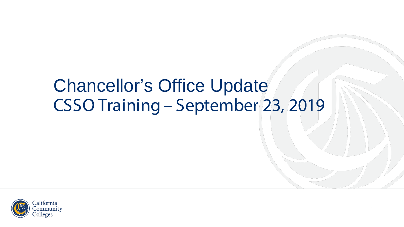#### Chancellor's Office Update CSSO Training – September 23, 2019

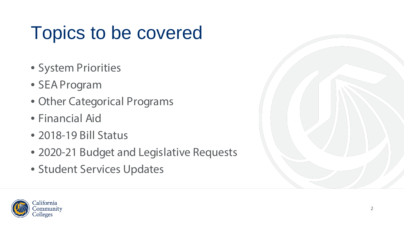# Topics to be covered

- System Priorities
- SEA Program
- Other Categorical Programs
- Financial Aid
- 2018-19 Bill Status
- 2020-21 Budget and Legislative Requests
- Student Services Updates



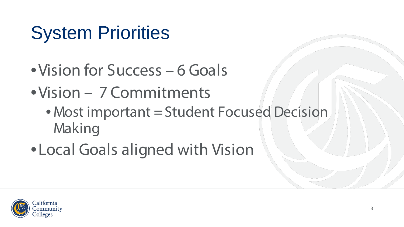# System Priorities

- •Vision for Success 6 Goals
- •Vision 7 Commitments
	- Most important = Student Focused Decision Making
- •Local Goals aligned with Vision

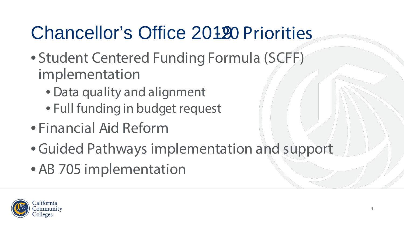## Chancellor's Office 20190 Priorities

- Student Centered Funding Formula (SCFF) implementation
	- Data quality and alignment
	- Full funding in budget request
- Financial Aid Reform
- •Guided Pathways implementation and support
- •AB 705 implementation

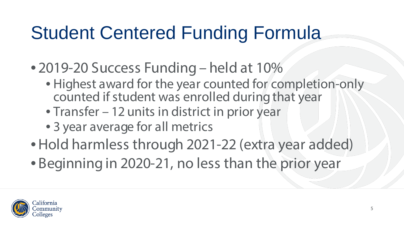## Student Centered Funding Formula

- 2019-20 Success Funding held at 10%
	- Highest award for the year counted for completion-only counted if student was enrolled during that year
	- Transfer 12 units in district in prior year
	- 3 year average for all metrics
- •Hold harmless through 2021-22 (extra year added)
- Beginning in 2020-21, no less than the prior year

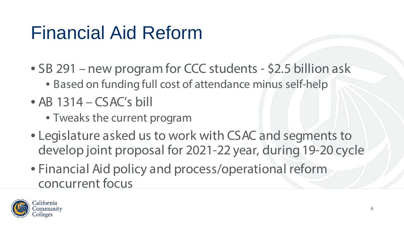## Financial Aid Reform

- SB 291 new program for CCC students \$2.5 billion ask
	- Based on funding full cost of attendance minus self-help
- AB 1314 CSAC's bill
	- Tweaks the current program
- Legislature asked us to work with CSAC and segments to develop joint proposal for 2021-22 year, during 19-20 cycle
- Financial Aid policy and process/operational reform concurrent focus

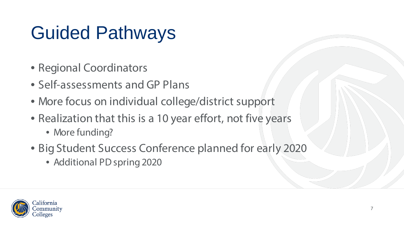# Guided Pathways

- Regional Coordinators
- Self-assessments and GP Plans
- More focus on individual college/district support
- Realization that this is a 10 year effort, not five years
	- More funding?
- Big Student Success Conference planned for early 2020
	- Additional PD spring 2020

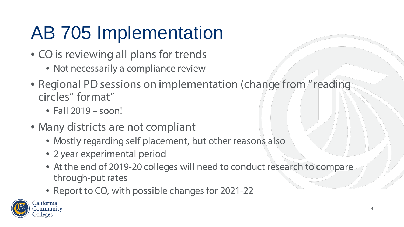# AB 705 Implementation

- CO is reviewing all plans for trends
	- Not necessarily a compliance review
- Regional PD sessions on implementation (change from "reading circles" format"
	- Fall 2019 soon!
- Many districts are not compliant
	- Mostly regarding self placement, but other reasons also
	- 2 year experimental period
	- At the end of 2019-20 colleges will need to conduct research to compare through-put rates
	- Report to CO, with possible changes for 2021-22

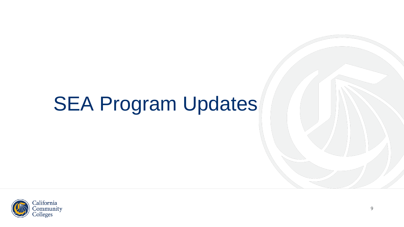# SEA Program Updates

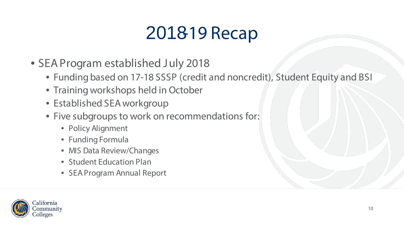### 2018-19 Recap

- SEA Program established July 2018
	- Funding based on 17-18 SSSP (credit and noncredit), Student Equity and BSI
	- Training workshops held in October
	- Established SEA workgroup
	- Five subgroups to work on recommendations for:
		- Policy Alignment
		- Funding Formula
		- MIS Data Review/Changes
		- Student Education Plan
		- SEA Program Annual Report

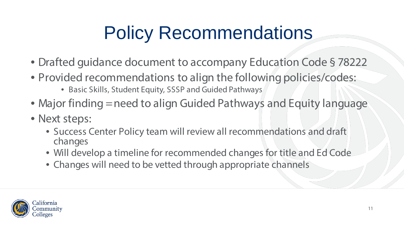# Policy Recommendations

- Drafted guidance document to accompany Education Code § 78222
- Provided recommendations to align the following policies/codes:
	- Basic Skills, Student Equity, SSSP and Guided Pathways
- Major finding = need to align Guided Pathways and Equity language
- Next steps:
	- Success Center Policy team will review all recommendations and draft changes
	- Will develop a timeline for recommended changes for title and Ed Code
	- Changes will need to be vetted through appropriate channels

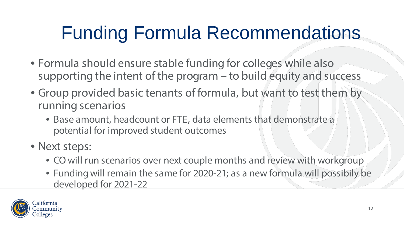# Funding Formula Recommendations

- Formula should ensure stable funding for colleges while also supporting the intent of the program – to build equity and success
- Group provided basic tenants of formula, but want to test them by running scenarios
	- Base amount, headcount or FTE, data elements that demonstrate a potential for improved student outcomes
- Next steps:
	- CO will run scenarios over next couple months and review with workgroup
	- Funding will remain the same for 2020-21; as a new formula will possibily be developed for 2021-22

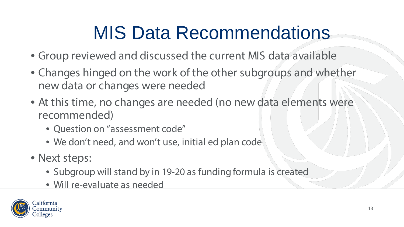# MIS Data Recommendations

- Group reviewed and discussed the current MIS data available
- Changes hinged on the work of the other subgroups and whether new data or changes were needed
- At this time, no changes are needed (no new data elements were recommended)
	- Question on "assessment code"
	- We don't need, and won't use, initial ed plan code
- Next steps:
	- Subgroup will stand by in 19-20 as funding formula is created
	- Will re-evaluate as needed

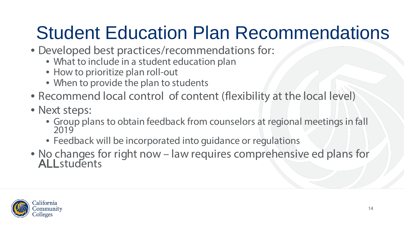## Student Education Plan Recommendations

- Developed best practices/recommendations for:
	- What to include in a student education plan
	- How to prioritize plan roll-out
	- When to provide the plan to students
- Recommend local control of content (flexibility at the local level)
- Next steps:
	- Group plans to obtain feedback from counselors at regional meetings in fall 2019
	- Feedback will be incorporated into guidance or regulations
- No changes for right now law requires comprehensive ed plans for ALLstudents

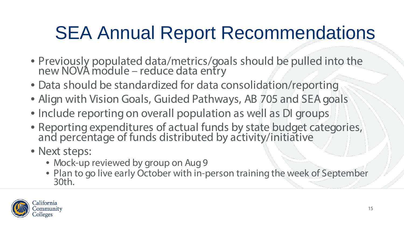## SEA Annual Report Recommendations

- Previously populated data/metrics/goals should be pulled into the new NOVA module – reduce data entry
- Data should be standardized for data consolidation/reporting
- Align with Vision Goals, Guided Pathways, AB 705 and SEA goals
- Include reporting on overall population as well as DI groups
- Reporting expenditures of actual funds by state budget categories, and percentage of funds distributed by activity/initiative
- Next steps:
	- Mock-up reviewed by group on Aug 9
	- Plan to go live early October with in-person training the week of September 30th.

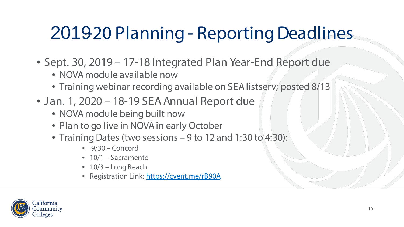## 201920 Planning - Reporting Deadlines

- Sept. 30, 2019 17-18 Integrated Plan Year-End Report due
	- NOVA module available now
	- Training webinar recording available on SEA listserv; posted 8/13
- Jan. 1, 2020 18-19 SEA Annual Report due
	- NOVA module being built now
	- Plan to go live in NOVA in early October
	- Training Dates (two sessions 9 to 12 and 1:30 to 4:30):
		- 9/30 Concord
		- 10/1 Sacramento
		- 10/3 Long Beach
		- Registration Link:<https://cvent.me/rB90A>

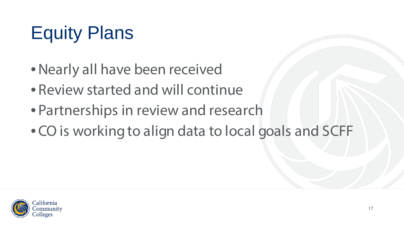# Equity Plans

- •Nearly all have been received
- Review started and will continue
- Partnerships in review and research
- CO is working to align data to local goals and SCFF

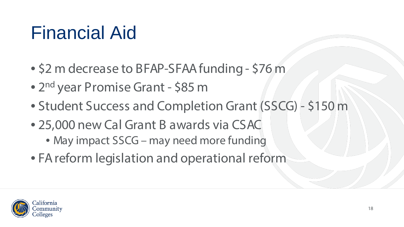### Financial Aid

- \$2 m decrease to BFAP-SFAA funding \$76 m
- 2<sup>nd</sup> year Promise Grant \$85 m
- Student Success and Completion Grant (SSCG) \$150 m
- 25,000 new Cal Grant B awards via CSAC
	- May impact SSCG may need more funding
- FA reform legislation and operational reform

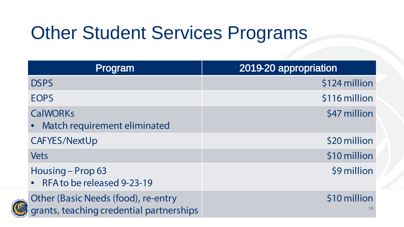# Other Student Services Programs

| Program                                                                         | 2019-20 appropriation |
|---------------------------------------------------------------------------------|-----------------------|
| <b>DSPS</b>                                                                     | \$124 million         |
| <b>EOPS</b>                                                                     | \$116 million         |
| <b>CalWORKs</b><br>Match requirement eliminated                                 | \$47 million          |
| <b>CAFYES/NextUp</b>                                                            | \$20 million          |
| Vets                                                                            | \$10 million          |
| Housing - Prop 63<br>• RFA to be released 9-23-19                               | \$9 million           |
| Other (Basic Needs (food), re-entry<br>grants, teaching credential partnerships | \$10 million<br>19    |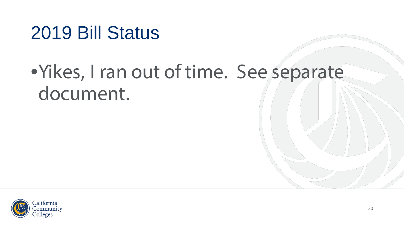#### 2019 Bill Status

### •Yikes, I ran out of time. See separate document.

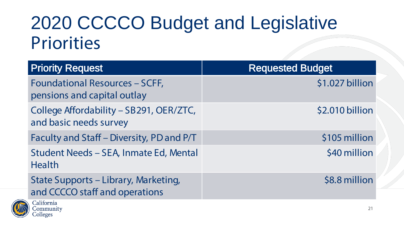#### 2020 CCCCO Budget and Legislative **Priorities**

| <b>Priority Request</b>                                                | <b>Requested Budget</b> |
|------------------------------------------------------------------------|-------------------------|
| <b>Foundational Resources - SCFF,</b><br>pensions and capital outlay   | \$1.027 billion         |
| College Affordability - SB291, OER/ZTC,<br>and basic needs survey      | \$2.010 billion         |
| Faculty and Staff - Diversity, PD and P/T                              | \$105 million           |
| Student Needs - SEA, Inmate Ed, Mental<br><b>Health</b>                | \$40 million            |
| State Supports - Library, Marketing,<br>and CCCCO staff and operations | \$8.8 million           |
| California                                                             |                         |



olleges